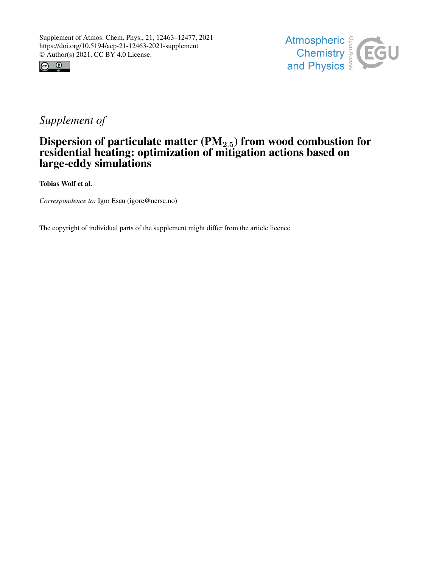



## *Supplement of*

## Dispersion of particulate matter  $(\mathrm{PM}_{2.5})$  from wood combustion for residential heating: optimization of mitigation actions based on large-eddy simulations

Tobias Wolf et al.

*Correspondence to:* Igor Esau (igore@nersc.no)

The copyright of individual parts of the supplement might differ from the article licence.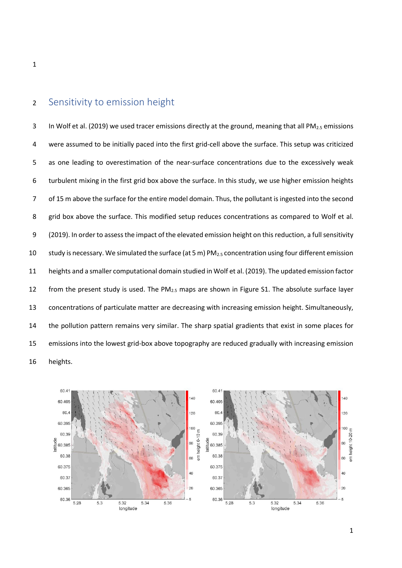## Sensitivity to emission height

3 In Wolf et al. (2019) we used tracer emissions directly at the ground, meaning that all PM<sub>2.5</sub> emissions were assumed to be initially paced into the first grid-cell above the surface. This setup was criticized as one leading to overestimation of the near-surface concentrations due to the excessively weak turbulent mixing in the first grid box above the surface. In this study, we use higher emission heights of 15 m above the surface for the entire model domain. Thus, the pollutant is ingested into the second 8 grid box above the surface. This modified setup reduces concentrations as compared to Wolf et al. (2019). In order to assess the impact of the elevated emission height on this reduction, a full sensitivity 10 study is necessary. We simulated the surface (at 5 m)  $PM<sub>2.5</sub>$  concentration using four different emission heights and a smaller computational domain studied in Wolf et al. (2019). The updated emission factor 12 from the present study is used. The  $PM_{2.5}$  maps are shown in Figure S1. The absolute surface layer concentrations of particulate matter are decreasing with increasing emission height. Simultaneously, the pollution pattern remains very similar. The sharp spatial gradients that exist in some places for emissions into the lowest grid-box above topography are reduced gradually with increasing emission heights.

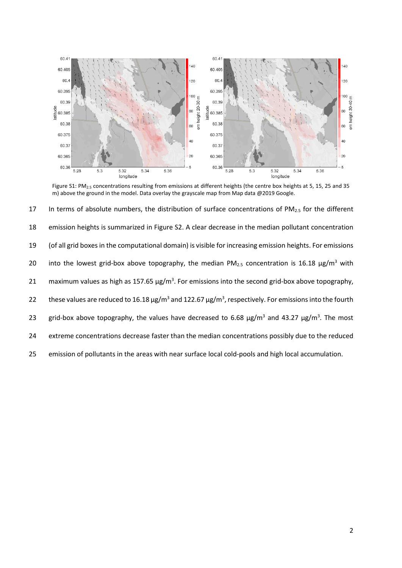

Figure S1: PM<sub>2.5</sub> concentrations resulting from emissions at different heights (the centre box heights at 5, 15, 25 and 35 m) above the ground in the model. Data overlay the grayscale map from Map data @2019 Google.

17 In terms of absolute numbers, the distribution of surface concentrations of PM $_{2.5}$  for the different 18 emission heights is summarized in Figure S2. A clear decrease in the median pollutant concentration 19 (of all grid boxes in the computational domain) is visible for increasing emission heights. For emissions 20 into the lowest grid-box above topography, the median  $PM_{2.5}$  concentration is 16.18  $\mu$ g/m<sup>3</sup> with 21 maximum values as high as 157.65  $\mu$ g/m<sup>3</sup>. For emissions into the second grid-box above topography, 22 these values are reduced to 16.18  $\mu$ g/m<sup>3</sup> and 122.67  $\mu$ g/m<sup>3</sup>, respectively. For emissions into the fourth 23 grid-box above topography, the values have decreased to 6.68  $\mu$ g/m<sup>3</sup> and 43.27  $\mu$ g/m<sup>3</sup>. The most 24 extreme concentrations decrease faster than the median concentrations possibly due to the reduced 25 emission of pollutants in the areas with near surface local cold-pools and high local accumulation.